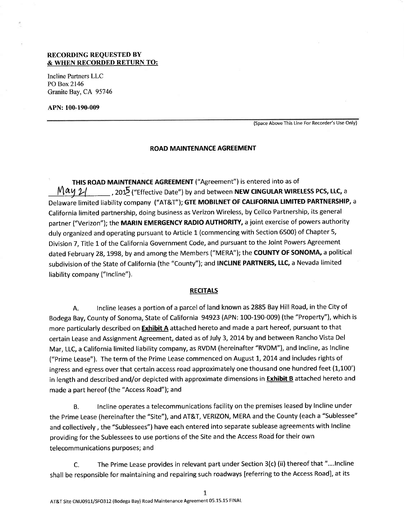## RECORDING REQUESTED BY & WHEN RECORDED RETURN TO:

Incline Partners LLC PO Box 2146 Granite Bay,CA 95746

APN: 100-190-009

(Space Above This Line For Recorder's Use Only)

#### ROAD MAINTENANCE AGREEMENT

THIS ROAD MAINTENANCE AGREEMENT ("Agreement") is entered into as of  $\mathcal{M}$  ay  $\mathcal{Y}$  , 2015 ("Effective Date") by and between NEW CINGULAR WIRELESS PCS, LLC, a California limited partnership, doing business as Verizon Wireless, by Cellco Partnership, its general Delaware limited liability company ("AT&T"); GTE MOBILNET OF CALIFORNIA LIMITED PARTNERSHIP, a partner ("Verizon"); the MARIN EMERGENCY RADIO AUTHORITY, a joint exercise of powers authority duly organized and operating pursuant to Article 1 (commencing with Section 6500) of Chapter 5, Division 7, Title 1 of the California Government Code, and pursuant to the Joint Powers Agreement dated February 28, 1998, by and among the Members ("MERA"); the COUNTY OF SONOMA, a political subdivision of the State of California (the "County"); and INCLINE PARTNERS, LLC, a Nevada limited liability company ("lncline").

## **RECITALS**

A. Incline leases a portion of a parcel of land known as 2885 Bay Hill Road, in the City of Bodega Bay, County of Sonoma, State of California 94923 (APN: 100-190-009) (the "Property"), which is more particularly described on **Exhibit A** attached hereto and made a part hereof, pursuant to that certain Lease and Assignment Agreement, dated as of July 3, 2014 by and between Rancho Vista Del Mar, LLC, a California limited liability company, as RVDM (hereinafter "RVDM"), and Incline, as Incline ("Prime Lease"). The term of the Prime Lease commenced on August 1, 2014 and includes rights of ingress and egress over that certain access road approximately one thousand one hundred feet (1,100') in length and described and/or depicted with approximate dimensions in **Exhibit B** attached hereto and made a part hereof (the "Access Road"); and

B. Incline operates a telecommunications facility on the premises leased by lncline under the Prime Lease (hereinafter the "Site"), and AT&T, VERIZON, MERA and the County (each a "Sublessee" and collectively, the "sublessees") have each entered into separate sublease agreements with Incline providing for the Sublessees to use portions of the Site and the Access Road for their own telecommunications purposes; and

C. The Prime Lease provides in relevant part under Section  $3(c)$  (ii) thereof that "....lncline shall be responsible for maintaining and repairing such roadways [referring to the Access Road], at its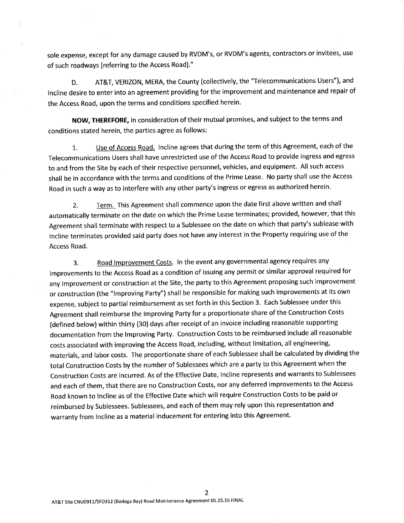sole expense, except for any damage caused by RVDM's, or RVDM's agents, contractors or invitees, use of such roadways [referring to the Access Road]."

D. AT&T, VERIZON, MERA, the County (collectively, the "Telecommunications Users"), and Incline desire to enter into an agreement providing for the improvement and maintenance and repair of the Access Road, upon the terms and conditions specified herein.

NOW, THEREFORE, in consideration of their mutual promises, and subject to the terms and conditions stated herein, the parties agree as follows:

t. Use of Access Road. Incline agrees that during the term of this Agreement, each of the Telecommunications Users shall have unrestricted use of the Access Road to provide ingress and egress to and from the Site by each of their respective personnel, vehicles, and equipment. All such access shall be in accordance with the terms and conditions of the Prime Lease. No party shall use the Access Road in such a way as to interfere with any other party's ingress or egress as authorized herein.

2. Term. This Agreement shall commence upon the date first above written and shall automatically terminate on the date on which the Prime Lease terminates; provided, however, that this Agreement shall terminate with respect to a Sublessee on the date on which that party's sublease with Incline terminates provided said party does not have any interest in the Property requiring use of the Access Road.

3. Road Improvement Costs. In the event any governmental agency requires any improvements to the Access Road as a condition of issuing any permit or similar approval required for any improvement or construction at the Site, the party to this Agreement proposing such improvement or construction (the "lmproving Party") shall be responsible for making such improvements at its own expense, subject to partial reimbursement as set fofth in this Section 3. Each Sublessee under this Agreement shall reimburse the lmproving Party for a proportionate share of the Construction Costs (defined below) within thirty (30) days after receipt of an invoice including reasonable supporting documentation from the lmproving Party. Construction Costs to be reimbursed include all reasonable costs associated with improving the Access Road, including, without limitation, all engineering, materials, and labor costs. The proportionate share of each Sublessee shall be calculated by dividing the total Construction Costs by the number of Sublessees which are a party to this Agreement when the Construction Costs are incurred. As of the Effective Date, Incline represents and warrants to Sublessees and each of them, that there are no Construction Costs, nor any deferred improvements to the Access Road known to Incline as of the Effective Date which will require Construction Costs to be paid or reimbursed by Sublessees. Sublessees, and each of them may rely upon this representation and warranty from Incline as a material inducement for entering into this Agreement.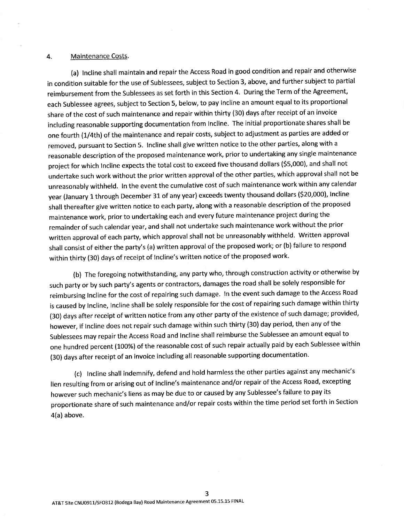### 4. Maintenance Costs.

(a) Incline shall maintain and repair the Access Road in good condition and repair and otherwise in condition suitable for the use of Sublessees, subject to Section 3, above, and further subject to partial reimbursement from the Sublessees as set forth in this Section 4. During the Term of the Agreement, each Sublessee agrees, subject to Section 5, below, to pay Incline an amount equal to its proportional share of the cost of such maintenance and repair within thirty (30) days after receipt of an invoice including reasonable supporting documentation from Incline. The initial proportionate shares shall be one fourth (1/4th) of the maintenance and repair costs, subject to adjustment as parties are added or removed, pursuant to Section 5. Incline shall give written notice to the other parties, along with <sup>a</sup> reasonable description of the proposed maintenance work, prior to undertaking any single maintenance project for which Incline expects the total cost to exceed five thousand dollars (55,000), and shall not undertake such work without the prior written approval of the other parties, which approval shall not be unreasonably withheld. ln the event the cumulative cost of such maintenance work within any calendar year (January 1 through December 31 of any year) exceeds twenty thousand dollars (\$20,000), Incline shall thereafter give written notice to each party, along with a reasonable description of the proposed maintenance work, prior to undertaking each and every future maintenance project during the remainder of such calendar year, and shall not undertake such maintenance work without the prior written approval of each party, which approval shall not be unreasonably withheld. Written approval shall consist of either the party's (a) written approval of the proposed work; or (b) failure to respond within thirty (30) days of receipt of Incline's written notice of the proposed work.

(b) The foregoing notwithstanding, any party who, through construction activity or otherwise by such party or by such party's agents or contractors, damages the road shall be solely responsible for reimbursing Incline for the cost of repairing such damage. In the event such damage to the Access Road is caused by Incline, Incline shall be solely responsible for the cost of repairing such damage within thirty (30) days after receipt of written notice from any other party of the existence of such damage; provided, however, if lncline does not repair such damage within such thirty (30) day period, then any of the Sublessees may repair the Access Road and Incline shall reimburse the Sublessee an amount equal to one hundred percent (100%) of the reasonable cost of such repair actually paid by each Sublessee within (30) days after receipt of an invoice including all reasonable supporting documentation.

(c) Incline shall indemnify, defend and hold harmless the other parties against any mechanic's lien resulting from or arising out of Incline's maintenance and/or repair of the Access Road, excepting however such mechanic's liens as may be due to or caused by any Sublessee's failure to pay its proportionate share of such maintenance and/or repair costs within the time period set forth in Section 4(a) above.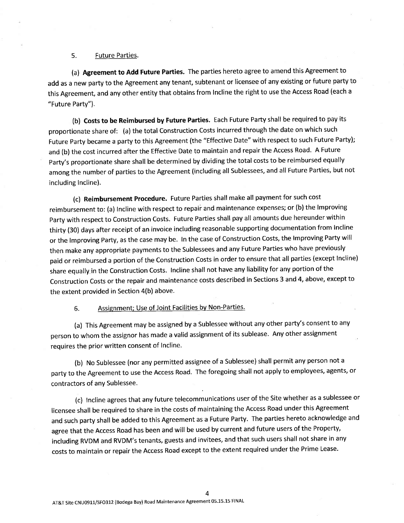## 5. Future Parties.

(a) Agreement to Add Future Parties. The parties hereto agree to amend this Agreement to add as a new party to the Agreement any tenant, subtenant or licensee of any existing or future party to this Agreement, and any other entity that obtains from Incline the right to use the Access Road (each <sup>a</sup> "Future Party").

(b) Costs to be Reimbursed by Future Parties. Each Future Party shall be required to pay its proportionate share of: (a) the total Construction Costs incurred through the date on which such Future party became a party to this Agreement (the "Effective Date" with respect to such Future Party); and (b) the cost incurred after the Effective Date to maintain and repair the Access Road. A Future party's proportionate share shall be determined by dividing the total costs to be reimbursed equally amdng the number of parties to the Agreement (including all Sublessees, and all Future Parties, but not including Incline).

(c) Reimbursement Procedure. Future Parties shall make all payment for such cost reimbursement to: (a) Incline with respect to repair and maintenance expenses; or (b) the Improving party with respect to Construction Costs. Future Parties shall pay all amounts due hereunder within thirty (30) days after receipt of an invoice including reasonable supporting documentation from Incline or the lmproving party, as the case may be. ln the case of Construction Costs, the lmproving Party will then make any appropriate payments to the Sublessees and any Future Parties who have previously paid or reimbursed a portion of the Construction Costs in order to ensure that all parties (except Incline) share equally in the Construction Costs. Incline shall not have any liability for any portion of the Construction Costs or the repair and maintenance costs described in Sections 3 and 4, above, except to the extent provided in Section 4(b) above.

6. Assignment; Use of Joint Facilities by Non-Parties.

(a) This Agreement may be assigned by a Sublessee without any other party's consent to any person to whom the assignor has made a valid assignment of its sublease. Any other assignment requires the prior written consent of Incline.

(b) No Sublessee (nor any permitted assignee of a Sublessee) shall permit any person not <sup>a</sup> party to the Agreement to use the Access Road. The foregoing shall not apply to employees, agents, or contractors of any Sublessee.

(c) Incline agrees that any future telecommunications user of the Site whether as a sublessee or licensee shall be required to share in the costs of maintaining the Access Road under this Agreement and such party shall be added to this Agreement as a Future Party. The parties hereto acknowledge and agree that the Access Road has been and will be used by current and future users of the Property, including RVDM and RVDM's tenants, guests and invitees, and that such users shall not share in any costs to maintain or repair the Access Road except to the extent required under the Prime Lease.

4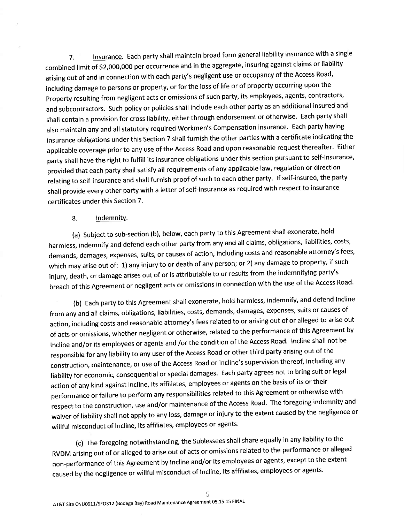7. Insurance. Each party shall maintain broad form general liability insurance with a single combined limit of \$2,000,000 per occurrence and in the aggregate, insuring against claims or liability arising out of and in connection with each party's negligent use or occupancy of the Access Road, including damage to persons or property, or for the loss of life or of property occurring upon the Property resulting from negligent acts or omissions of such party, its employees, agents, contractors, and subcontractors. Such policy or policies shall include each other party as an additional insured and shall contain a provision for cross liability, either through endorsement or otherwise. Each party shall also maintain any and all statutory required Workmen's Compensation insurance. Each party having insurance obligations under this section 7 shall furnish the other parties with a certificate indicating the applicable coverage prior to any use of the Access Road and upon reasonable request thereafter. Either party shall have the right to fulfill its insurance obligations under this section pursuant to self-insurance, provided that each party shall satisfy all requirements of any applicable law, regulation or direction relating to self-insurance and shall furnish proof of such to each other party. lf self-insured, the party shall provide every other party with a letter of self-insurance as required with respect to insurance certificates under this Section 7.

## 8. Indennnitv.

(a) Subject to sub-section (b), below, each party to this Agreement shall exonerate, hold harmless, indemnify and defend each other party from any and all claims, obligations, liabilities, costs, demands, damages, expenses, suits, or causes of action, including costs and reasonable attorney's fees, which may arise out of: 1) any injury to or death of any person; or 2) any damage to property, if such injury, death, or damage arises out of or is attributable to or results from the indemnifying party's breach of this Agreement or negligent acts or omissions in connection with the use of the Access Road'

(b) Each party to this Agreement shall exonerate, hold harmless, indemnify, and defend Incline from any and all claims, obligations, liabilities, costs, demands, damages, expenses, suits or causes of action, including costs and reasonable attorney's fees related to or arising out of or alleged to arise out of acts or omissions, whether negligent or otherwise, related to the performance of this Agreement by Incline and/or its employees or agents and /or the condition of the Access Road. Incline shall not be responsible for any liability to any user of the Access Road or other third party arising out of the construction, maintenance, or use of the Access Road or Incline's supervision thereof, including any liability for economic, consequential or special damages. Each party agrees not to bring suit or legal action of any kind against Incline, its affiliates, employees or agents on the basis of its or their performance or failure to perform any responsibilities related to this Agreement or otherwise with respect to the construction, use and/or maintenance of the Access Road. The foregoing indemnity and waiver of liability shall not apply to any loss, damage or injury to the extent caused by the negligence or willful misconduct of Incline, its affiliates, employees or agents.

(c) The foregoing notwithstanding, the Sublessees shall share equally in any liability to the RVDM arising out of or alleged to arise out of acts or omissions related to the performance or alleged non-performance of this Agreement by Incline and/or its employees or agents, except to the extent caused by the negligence or willful misconduct of Incline, its affiliates, employees or agents.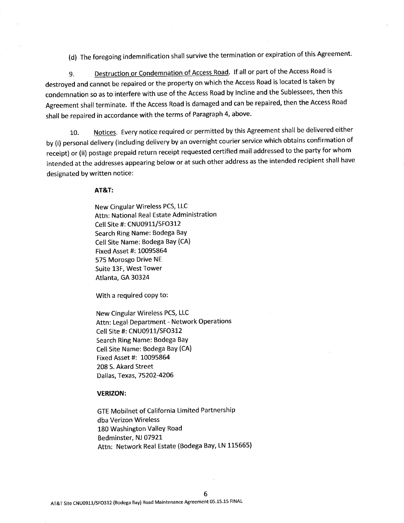(d) The foregoing indemnification shall survive the termination or expiration of this Agreement.

9. Destruction or Condemnation of Access Road. If all or part of the Access Road is destroyed and cannot be repaired or the property on which the Access Road is located is taken by condemnation so as to interfere with use of the Access Road by Incline and the Sublessees, then this Agreement shall terminate. lf the Access Road is damaged and can be repaired, then the Access Road shall be repaired in accordance with the terms of Paragraph 4, above.

10. Notices. Every notice required or permitted by this Agreement shall be delivered either by (i) personal delivery (including delivery by an overnight courier service which obtains confirmation of receipt) or (ii) postage prepaid return receipt requested certified mail addressed to the party for whom intended at the addresses appearing below or at such other address as the intended recipient shall have designated by written notice:

AT&T:

New Cingular Wireless PCS, LLC Attn: National Real Estate Administration Cell Site #: CNU0911/SFO312 Search Ring Name: Bodega BaY Cell Site Name: Bodega BaY (CA) Fixed Asset #: 10095864 575 Morosgo Drive NE Suite 13F, West Tower Atlanta, GA 30324

With a required copy to:

New Cingular Wireless PCS, LLC Attn: Legal Department - Network Operations Cell Site #: CNU0911/SFO3I2 Search Ring Name: Bodega BaY Cell Site Name: Bodega BaY (CA) Fixed Asset #: L0095864 208 S. Akard Street Dallas, Texas, 75202-4206

## VERIZON:

GTE Mobilnet of California Limited Partnership dba Verizon Wireless 180 Washington Valley Road Bedminster, NJ 07921 Attn: Network Real Estate (Bodega Bay, LN 115665)

6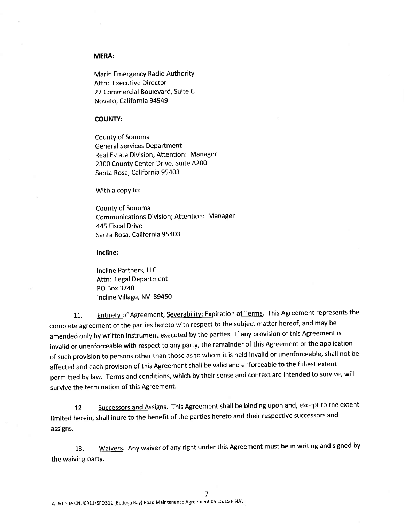### MERA:

**Marin Emergency Radio Authority** Attn: Executive Director 27 Commercial Boulevard, Suite C Novato, California 94949

### COUNTY:

County of Sonoma **General Services Department** Real Estate Division; Attention: Manager 2300 County Center Drive, Suite A200 Santa Rosa, California 95403

With a copy to:

County of Sonoma Communications Division; Attention: Manager 445 Fiscal Drive Santa Rosa, California 95403

lncline:

Incline Partners, LLC Attn: Legal Department PO Box 3740 Incline Village, NV 89450

Entirety of Agreement; Severability; Expiration of Terms. This Agreement represents the 11. complete agreement of the parties hereto with respect to the subject matter hereof, and may be amended only by written instrument executed by the parties. lf any provision of this Agreement is invalid or unenforceable with respect to any party, the remainder of this Agreement or the application of such provision to persons other than those as to whom it is held invalid or unenforceable, shall not be affected and each provision of this Agreement shall be valid and enforceable to the fullest extent permitted by law. Terms and conditions, which by their sense and context are intended to survive, will survive the termination of this Agreement.

12. Successors and Assigns. This Agreement shall be binding upon and, except to the extent limited herein, shall inure to the benefit of the parties hereto and their respective successors and assigns.

13. Waivers. Any waiver of any right under this Agreement must be in writing and signed by the waiving party.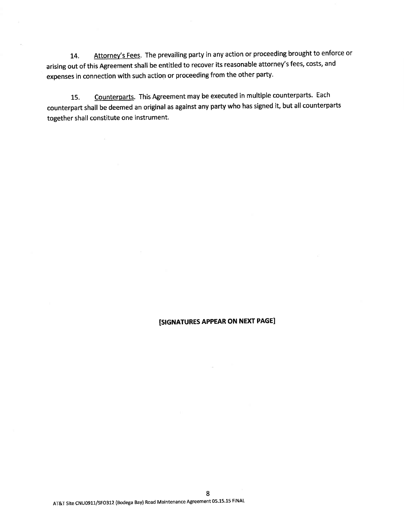14. Attorney's Fees. The prevailing party in any action or proceeding brought to enforce or arising out of this Agreement shall be entitled to recover its reasonable attorney's fees, costs, and expenses in connection with such action or proceeding from the other party.

15. Counterparts. This Agreement may be executed in multiple counterparts. Each counterpart shall be deemed an original as against any party who has signed it, but all counterparts together shall constitute one instrument.

# [SIGNATURES APPEAR ON NEXT PAGE]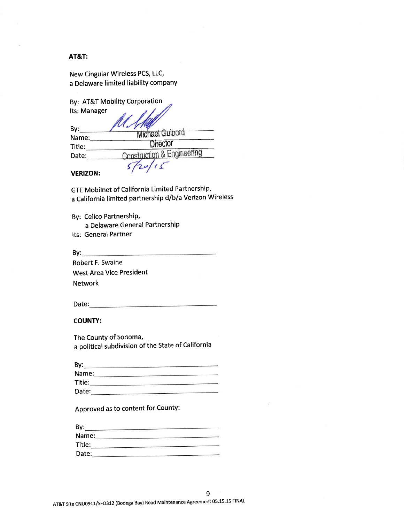## AT&T:

| New Cingular Wireless PCS, LLC,      |  |
|--------------------------------------|--|
| a Delaware limited liability company |  |

|  |  |  | By: AT&T Mobility Corporation |
|--|--|--|-------------------------------|
|--|--|--|-------------------------------|

| Its: Manager    |                                       |
|-----------------|---------------------------------------|
| By:             | Michael Guibord                       |
| Name:<br>Title: | <b>Director</b>                       |
| Date:           | <b>Construction &amp; Engineering</b> |
| VEDI7ON.        |                                       |

VERIZON:

GTE Mobilnet of California Limited Partnership, a California limited partnership d/b/a Verizon Wireless

By: Cellco Partnership,

a Delaware General Partnership

Its: General Partner

 $By:$ 

Robert F. Swaine West Area Vice President Network

Date:

## COUNTY:

The County of Sonoma, a political subdivision of the State of California

| By:                                              |  |
|--------------------------------------------------|--|
| Name:<br>-<br>the first control and the property |  |
| Title:                                           |  |
| Date:                                            |  |

Approved as to content for CountY:

| By:    |  |
|--------|--|
| Name:  |  |
| Title: |  |
| Date:  |  |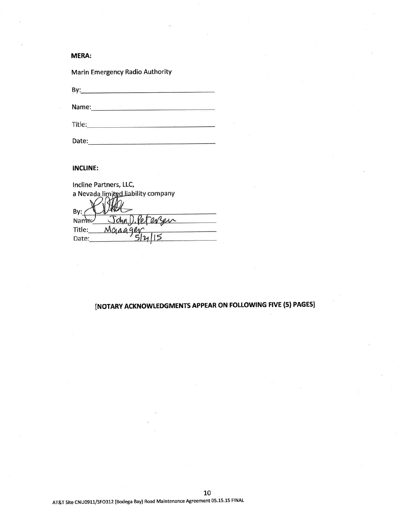## MERA:

Marin Emergency Radio AuthoritY

Name:

Date: experimental and a series of the series of the series of the series of the series of the series of the series of the series of the series of the series of the series of the series of the series of the series of the s

## INCLINE:

| Incline Partners, LLC,             |
|------------------------------------|
| a Nevada limited liability company |
|                                    |
| By:                                |
| John D. Petersen<br>Name:          |
| Manager<br>Title:                  |
| Date:                              |

# INoTARY ACKNOWLEDGMENTS APPEAR ON FOLLOWING FIVE (5) PAGESI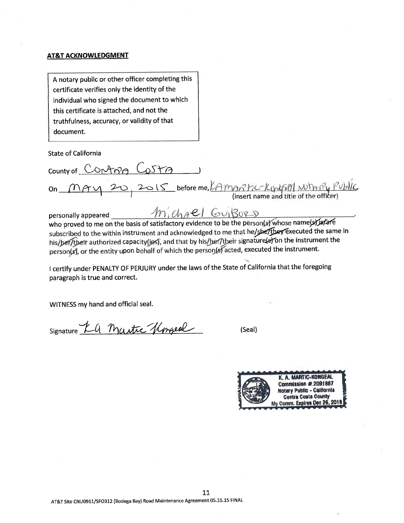### AT&T ACKNOWLEDGMENT

A notary public or other officer completing this certificate verifies only the identity of the individual who signed the document to which this certificate is attached, and not the truthfulness, accuracy, or validity of that document.

**State of California** 

County of CONTRA COSTA  $\gamma$  20 2015 before me,  $\beta$  m  $\gamma$  /  $\beta$  /  $\gamma$  /  $\gamma$  /  $\gamma$  /  $\gamma$  /  $\gamma$  /  $\gamma$  /  $\gamma$  /  $\gamma$  (insert name and title of the officer)  $On_$ 

Michael GuiBors personally appeared who proved to me on the basis of satisfactory evidence to be the person(s) whose name(s) is fare subscribed to the within instrument and acknowledged to me that he/she/they executed the same in his/ber/their authorized capacity(jes), and that by his/ber/their signature(a) on the instrument the person(s), or the entity upon behalf of which the person(s) acted, executed the instrument.

I certify under PENALTY OF PERJURY under the laws of the State of California that the foregoing paragraph is true and correct.

WITNESS my hand and official seal.

signature KG Martic Kngeal

(Seal)

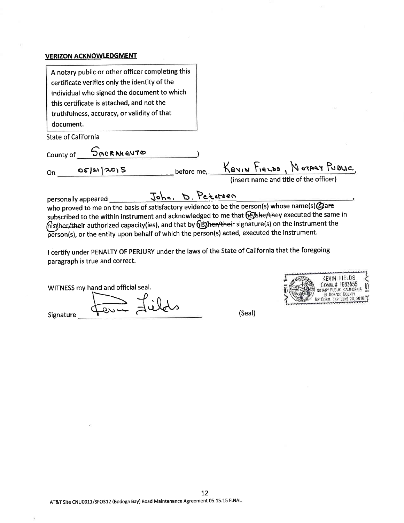## VERIZON ACKNOWLEDGMENT

| A notary public or other officer completing this<br>certificate verifies only the identity of the<br>individual who signed the document to which<br>this certificate is attached, and not the |                                                                                   |
|-----------------------------------------------------------------------------------------------------------------------------------------------------------------------------------------------|-----------------------------------------------------------------------------------|
| truthfulness, accuracy, or validity of that<br>document.                                                                                                                                      |                                                                                   |
| State of California                                                                                                                                                                           |                                                                                   |
| SACRAMENTO<br>County of                                                                                                                                                                       |                                                                                   |
| OS 20 2015<br>0n.                                                                                                                                                                             | before me, KEVIN FIELDS, NOTARY PUBLIC,<br>(insert name and title of the officer) |

personally appeared John. D. Petersen who proved to me on the basis of satisfactory evidence to be the person(s) whose name(s) Gare subscribed to the within instrument and acknowledged to me that (e) she/they executed the same in his/her/their authorized capacity(ies), and that by *dis/her/their signature(s)* on the instrument the  $\widetilde{\mathsf{person}}(s)$ , or the entity upon behalf of which the person(s) acted, executed the instrument.

<sup>I</sup>certify under PENALTY OF PERJURY under the laws of the State of California that the foregoing paragraph is true and correct.

WITNESS my hand and official seal.<br>Signature

Signature

KEVIN FIELDS COMM.# 1983555 NOTARY PUBLIC - CALIFORNIA EL DORADO COUNTY<br>COMM. EXP. JUNE 28, 2016

(Seal)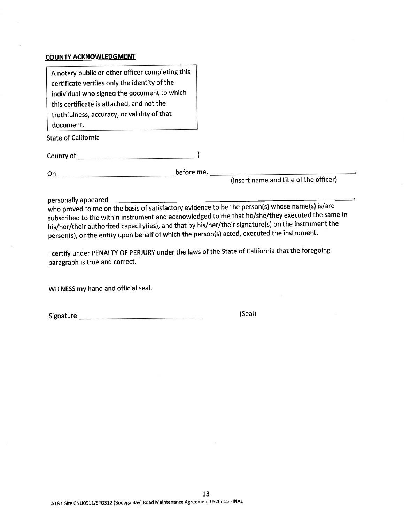## COUNTY ACKNOWLEDGMENT

| A notary public or other officer completing this                                                                                                                                                                                     |                                        |
|--------------------------------------------------------------------------------------------------------------------------------------------------------------------------------------------------------------------------------------|----------------------------------------|
| certificate verifies only the identity of the                                                                                                                                                                                        |                                        |
| individual who signed the document to which                                                                                                                                                                                          |                                        |
| this certificate is attached, and not the                                                                                                                                                                                            |                                        |
| truthfulness, accuracy, or validity of that                                                                                                                                                                                          |                                        |
| document.                                                                                                                                                                                                                            |                                        |
| <b>State of California</b>                                                                                                                                                                                                           |                                        |
|                                                                                                                                                                                                                                      |                                        |
| County of <u>County of County of County of County of County of County of County of County of County of County of County of County of County of County of County of County of County of County of County of County of County of C</u> |                                        |
|                                                                                                                                                                                                                                      |                                        |
| On.<br>and the second control of the second control of the second control of the second control of the second control of                                                                                                             | before me,                             |
|                                                                                                                                                                                                                                      | (insert name and title of the officer) |

personally appeared \_\_\_\_\_\_\_\_\_\_\_

who proved to me on the basis of satisfactory evidence to be the person(s) whose name(s) is/are subscribed to the within instrument and acknowledged to me that he/she/they executed the same in his/her/their authorized capacity(ies), and that by his/her/their signature(s) on the instrument the person(s), or the entity upon behalf of which the person(s) acted, executed the instrument.

<sup>I</sup>certify under PENALTY oF PERJURy under the laws of the State of california that the foregoing paragraph is true and correct.

WITNESS my hand and official seal.

Signature (Seal)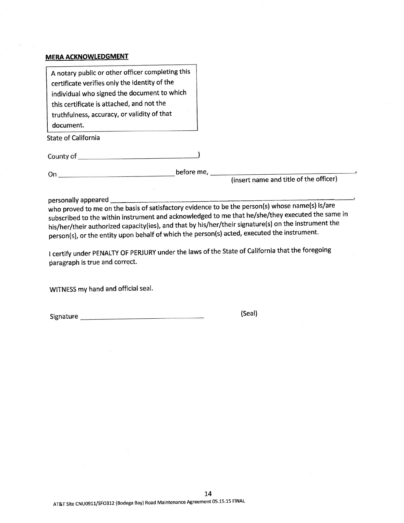## **MERA ACKNOWLEDGMENT**

personally appeared

who proved to me on the basis of satisfactory evidence to be the person(s) whose name(s) is/are subscribed to the within instrument and acknowledged to me that he/she/they executed the same in his/her/their authorized capacity(ies), and that by his/her/their signature(s) on the instrument the person(s), or the entity upon behalf of which the person(s) acted, executed the instrument.

<sup>I</sup>certify under PENALTY OF PERJURY under the laws of the state of california that the foregoing paragraph is true and correct.

WITNESS my hand and official seal.

Signature (Seal)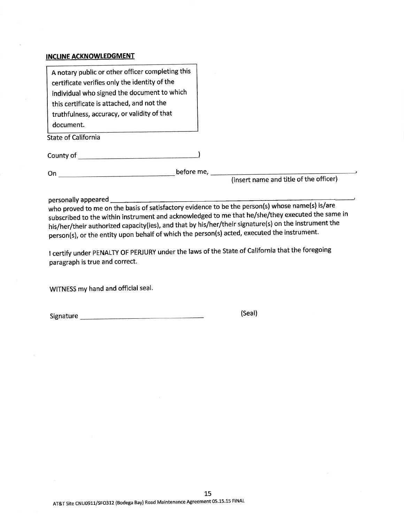## INCLINE ACKNOWLEDGMENT

| A notary public or other officer completing this<br>certificate verifies only the identity of the<br>individual who signed the document to which<br>this certificate is attached, and not the<br>truthfulness, accuracy, or validity of that<br>document.<br><b>State of California</b> |                                        |
|-----------------------------------------------------------------------------------------------------------------------------------------------------------------------------------------------------------------------------------------------------------------------------------------|----------------------------------------|
|                                                                                                                                                                                                                                                                                         |                                        |
| On.                                                                                                                                                                                                                                                                                     | (insert name and title of the officer) |

personally appeared

who proved to me on the basis of satisfactory evidence to be the person(s) whose name(s) is/are subscribed to the within instrument and acknowledged to me that he/she/they executed the same in his/her/their authorized capacity(ies), and that by his/her/their signature(s) on the instrument the person(s), or the entity upon behalf of which the person(s) acted, executed the instrument.

<sup>I</sup>certify under PENALTY OF PERJURy under the laws of the State of california that the foregoing paragraph is true and correct.

WITNESS my hand and official seal.

Signature (Seal)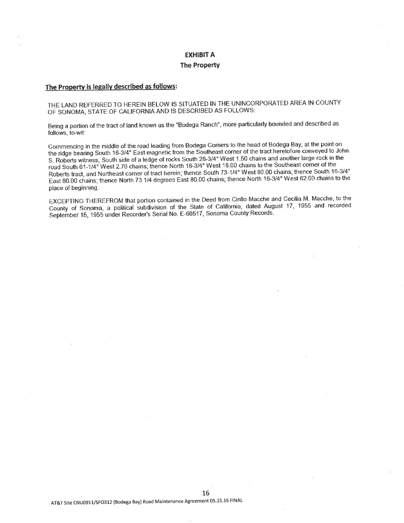## EXHIBIT A **The Property**

# The Property is legally described as follows:

THE LAND REFERRED TO HEREIN BELOW IS SITUATED IN THE UNINCORPORATED AREA IN COUNTY OF SONOMA, STATE OF CALIFORNIA AND IS DESCRIBED AS FOLLOWS:

Being a portion of the tract of land known as the "Bodega Ranch", more particularly bounded and described as follows, to-wit:

Commencing in the middle of the road leading from Bodega Corners to the head of Bodega Bay, at the point on the ridge bearing South 16-3/4" East magnetic from the Southeast corner of the tract heretofore conveyed to John S. Roberts witness, South side of a ledge of rocks South 28-3/4° West 1.50 chains and another large rock in the road South 61-1/4° West 2.70 chains; thence North 16-3/4° West 18.00 chains to the Southeast corner of the Roberts tract, and Northeast corner of tract herein; thence South 73-1/4° West 80.00 chains; thence South 16-3/4° East 80.00 chains; thence North 73 1/4 degrees East 80.00 chains; thence North 16-3/4" West 62.00 chains to the place of beginning.

EXCEPTING THEREFROM that portion contained in the Deed frorn cirillo Macche and cecllia M- Macche, to the County of Sonoma, a political subdivision of the State of California, dated August 17, 1955 and recorded September 15, 1955 under Recorder's Serial No. E-60517, Sonoma County Records.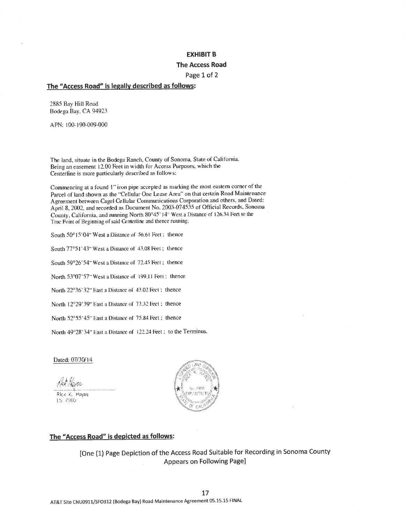## **EXHIBIT B**

### **The Access Road**

### Page 1 of 2

## The "Access Road" is legally described as follows:

2885 Bay Hill Road Bodega Bay, CA 94923

APN: 100-190-009-000

The land, situate in the Bodega Ranch, County of Sonoma, State of California. Being an easement 12.00 Feet in width for Access Purposes, which the Centerline is more particularly described as follows:

Commencing at a found 1" iron pipe accepted as marking the most eastern corner of the Parcel of land shown as the "Cellular One Lease Area" on that certain Road Maintenance Agreement between Cagel Cellular Communications Corporation and others, and Dated: April 8, 2002, and recorded as Document No. 2003-074535 of Official Records, Sonoma County, California, and running North 80°45' 14" West a Distance of 126.34 Feet to the True Point of Beginning of said Centerline and thence running;

South 50°15'04" West a Distance of 56.61 Feet; thence

South 77°51'43" West a Distance of 43.08 Feet; thence

South 59°26'54" West a Distance of 72.45 Feet; thence

North 53°07'57" West a Distance of 199.11 Feet; thence

North 22°36'32" East a Distance of 43.02 Feet ; thence

North 12°29'39" East a Distance of 73.32 Feet : thence

North 52°55'45" East a Distance of 75.84 Feet; thence

North 49°28'34" East a Distance of 122.24 Feet ; to the Terminus.

Dated: 07/30/14

Rick K. Hayes LS 7900



## The "Access Road" is depicted as follows:

[One (1) Page Depiction of the Access Road Suitable for Recording in Sonoma County Appears on Following Page]